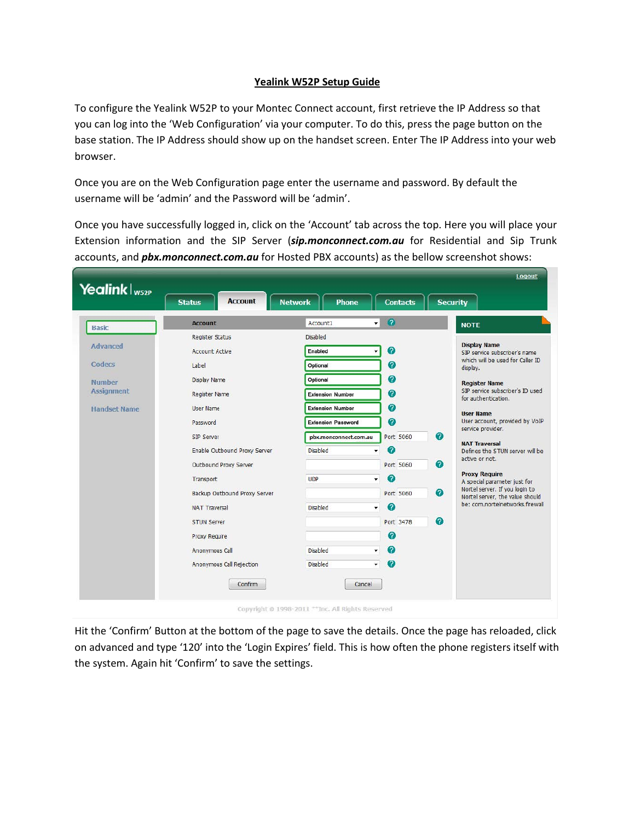## **Yealink W52P Setup Guide**

To configure the Yealink W52P to your Montec Connect account, first retrieve the IP Address so that you can log into the 'Web Configuration' via your computer. To do this, press the page button on the base station. The IP Address should show up on the handset screen. Enter The IP Address into your web browser.

Once you are on the Web Configuration page enter the username and password. By default the username will be 'admin' and the Password will be 'admin'.

Once you have successfully logged in, click on the 'Account' tab across the top. Here you will place your Extension information and the SIP Server (*sip.monconnect.com.au* for Residential and Sip Trunk accounts, and *pbx.monconnect.com.au* for Hosted PBX accounts) as the bellow screenshot shows:

|                     | <b>Account</b>               | Account1                                    | $\mathbf{Q}$<br>$\mathbf{v}$       | <b>NOTE</b>                                                                                                                                                                                                                                                                                                                                                                                                                                                                                                                                      |
|---------------------|------------------------------|---------------------------------------------|------------------------------------|--------------------------------------------------------------------------------------------------------------------------------------------------------------------------------------------------------------------------------------------------------------------------------------------------------------------------------------------------------------------------------------------------------------------------------------------------------------------------------------------------------------------------------------------------|
| <b>Basic</b>        | Register Status              | Disabled                                    |                                    |                                                                                                                                                                                                                                                                                                                                                                                                                                                                                                                                                  |
| Advanced            | <b>Account Active</b>        | Enabled                                     | $\boldsymbol{c}$                   | <b>Display Name</b><br>SIP service subscriper's name<br>which will be used for Caller ID<br>display.<br><b>Register Name</b><br>SIP service subscriper's ID used<br>for authentication.<br><b>User Name</b><br>User account, provided by VoIP<br>service provider.<br><b>NAT Traversal</b><br>Defines the STUN server will be<br>active or not.<br><b>Proxy Require</b><br>A special parameter just for<br>Nortel server. If you login to<br>$\bullet$<br>Nortel server, the value should<br>be: com.nortelnetworks.firewall<br>$\boldsymbol{c}$ |
| Codecs              | Label                        | Optional                                    | 0                                  |                                                                                                                                                                                                                                                                                                                                                                                                                                                                                                                                                  |
| <b>Number</b>       | Display Name                 | Optional                                    | 0                                  |                                                                                                                                                                                                                                                                                                                                                                                                                                                                                                                                                  |
| <b>Assignment</b>   | Register Name                | <b>Extension Number</b>                     | 2                                  |                                                                                                                                                                                                                                                                                                                                                                                                                                                                                                                                                  |
| <b>Handset Name</b> | <b>User Name</b>             | <b>Extension Number</b>                     | ⋒                                  |                                                                                                                                                                                                                                                                                                                                                                                                                                                                                                                                                  |
|                     | Password                     | <b>Extension Password</b>                   | 2                                  |                                                                                                                                                                                                                                                                                                                                                                                                                                                                                                                                                  |
|                     | SIP Server                   | pbx.monconnect.com.au                       | $\bullet$<br>Port 5060             |                                                                                                                                                                                                                                                                                                                                                                                                                                                                                                                                                  |
|                     | Enable Outbound Proxy Server | <b>Disabled</b><br>$\overline{\phantom{a}}$ | $\bullet$                          |                                                                                                                                                                                                                                                                                                                                                                                                                                                                                                                                                  |
|                     | Outbound Proxy Server        |                                             | $\boldsymbol{\Omega}$<br>Port 5060 |                                                                                                                                                                                                                                                                                                                                                                                                                                                                                                                                                  |
|                     | Transport                    | <b>UDP</b><br>۰                             | Q                                  |                                                                                                                                                                                                                                                                                                                                                                                                                                                                                                                                                  |
|                     | Backup Outbound Proxy Server |                                             | Port 5060                          |                                                                                                                                                                                                                                                                                                                                                                                                                                                                                                                                                  |
|                     | <b>NAT Traversal</b>         | <b>Disabled</b><br>۰                        | Ø                                  |                                                                                                                                                                                                                                                                                                                                                                                                                                                                                                                                                  |
|                     |                              |                                             |                                    |                                                                                                                                                                                                                                                                                                                                                                                                                                                                                                                                                  |
|                     | <b>STUN Server</b>           |                                             | Port 3478                          |                                                                                                                                                                                                                                                                                                                                                                                                                                                                                                                                                  |
|                     | <b>Proxy Require</b>         |                                             | Ø                                  |                                                                                                                                                                                                                                                                                                                                                                                                                                                                                                                                                  |
|                     | Anonymous Call               | <b>Disabled</b><br>۰                        | ⋒                                  |                                                                                                                                                                                                                                                                                                                                                                                                                                                                                                                                                  |
|                     | Anonymous Call Rejection     | <b>Disabled</b><br>$\blacktriangledown$     | $\boldsymbol{Q}$                   |                                                                                                                                                                                                                                                                                                                                                                                                                                                                                                                                                  |

Hit the 'Confirm' Button at the bottom of the page to save the details. Once the page has reloaded, click on advanced and type '120' into the 'Login Expires' field. This is how often the phone registers itself with the system. Again hit 'Confirm' to save the settings.